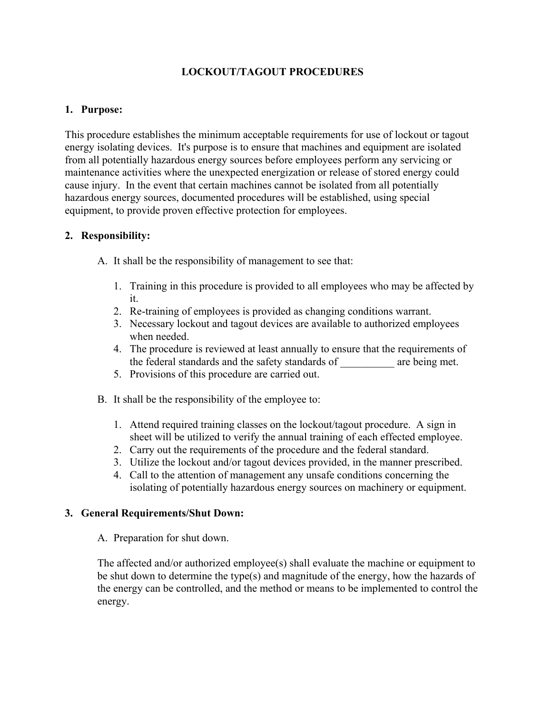# **LOCKOUT/TAGOUT PROCEDURES**

#### **1. Purpose:**

This procedure establishes the minimum acceptable requirements for use of lockout or tagout energy isolating devices. It's purpose is to ensure that machines and equipment are isolated from all potentially hazardous energy sources before employees perform any servicing or maintenance activities where the unexpected energization or release of stored energy could cause injury. In the event that certain machines cannot be isolated from all potentially hazardous energy sources, documented procedures will be established, using special equipment, to provide proven effective protection for employees.

#### **2. Responsibility:**

A. It shall be the responsibility of management to see that:

- 1. Training in this procedure is provided to all employees who may be affected by it.
- 2. Re-training of employees is provided as changing conditions warrant.
- 3. Necessary lockout and tagout devices are available to authorized employees when needed.
- 4. The procedure is reviewed at least annually to ensure that the requirements of the federal standards and the safety standards of are being met.
- 5. Provisions of this procedure are carried out.
- B. It shall be the responsibility of the employee to:
	- 1. Attend required training classes on the lockout/tagout procedure. A sign in sheet will be utilized to verify the annual training of each effected employee.
	- 2. Carry out the requirements of the procedure and the federal standard.
	- 3. Utilize the lockout and/or tagout devices provided, in the manner prescribed.
	- 4. Call to the attention of management any unsafe conditions concerning the isolating of potentially hazardous energy sources on machinery or equipment.

#### **3. General Requirements/Shut Down:**

A. Preparation for shut down.

The affected and/or authorized employee(s) shall evaluate the machine or equipment to be shut down to determine the type(s) and magnitude of the energy, how the hazards of the energy can be controlled, and the method or means to be implemented to control the energy.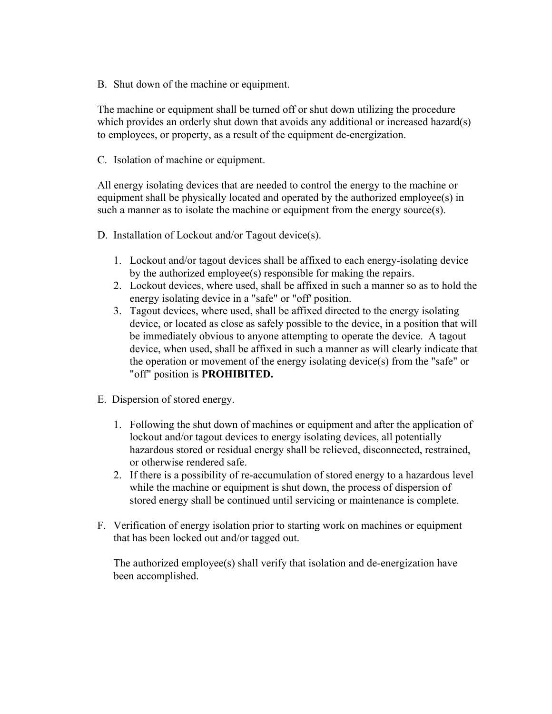B. Shut down of the machine or equipment.

 The machine or equipment shall be turned off or shut down utilizing the procedure which provides an orderly shut down that avoids any additional or increased hazard(s) to employees, or property, as a result of the equipment de-energization.

C. Isolation of machine or equipment.

All energy isolating devices that are needed to control the energy to the machine or equipment shall be physically located and operated by the authorized employee(s) in such a manner as to isolate the machine or equipment from the energy source(s).

- D. Installation of Lockout and/or Tagout device(s).
	- 1. Lockout and/or tagout devices shall be affixed to each energy-isolating device by the authorized employee(s) responsible for making the repairs.
	- 2. Lockout devices, where used, shall be affixed in such a manner so as to hold the energy isolating device in a "safe" or "off' position.
	- 3. Tagout devices, where used, shall be affixed directed to the energy isolating device, or located as close as safely possible to the device, in a position that will be immediately obvious to anyone attempting to operate the device. A tagout device, when used, shall be affixed in such a manner as will clearly indicate that the operation or movement of the energy isolating device(s) from the "safe" or "off" position is **PROHIBITED.**
- E. Dispersion of stored energy.
	- 1. Following the shut down of machines or equipment and after the application of lockout and/or tagout devices to energy isolating devices, all potentially hazardous stored or residual energy shall be relieved, disconnected, restrained, or otherwise rendered safe.
	- 2. If there is a possibility of re-accumulation of stored energy to a hazardous level while the machine or equipment is shut down, the process of dispersion of stored energy shall be continued until servicing or maintenance is complete.
- F. Verification of energy isolation prior to starting work on machines or equipment that has been locked out and/or tagged out.

The authorized employee(s) shall verify that isolation and de-energization have been accomplished.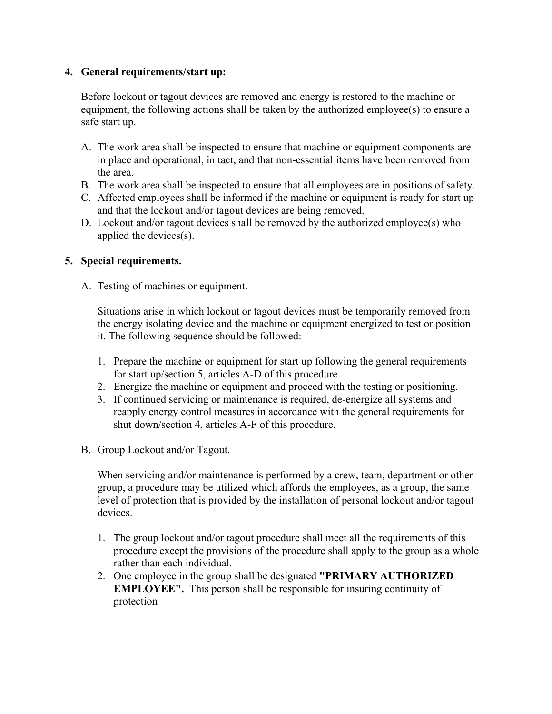## **4. General requirements/start up:**

Before lockout or tagout devices are removed and energy is restored to the machine or equipment, the following actions shall be taken by the authorized employee(s) to ensure a safe start up.

- A. The work area shall be inspected to ensure that machine or equipment components are in place and operational, in tact, and that non-essential items have been removed from the area.
- B. The work area shall be inspected to ensure that all employees are in positions of safety.
- C. Affected employees shall be informed if the machine or equipment is ready for start up and that the lockout and/or tagout devices are being removed.
- D. Lockout and/or tagout devices shall be removed by the authorized employee(s) who applied the devices(s).

## **5. Special requirements.**

A. Testing of machines or equipment.

 Situations arise in which lockout or tagout devices must be temporarily removed from the energy isolating device and the machine or equipment energized to test or position it. The following sequence should be followed:

- 1. Prepare the machine or equipment for start up following the general requirements for start up/section 5, articles A-D of this procedure.
- 2. Energize the machine or equipment and proceed with the testing or positioning.
- 3. If continued servicing or maintenance is required, de-energize all systems and reapply energy control measures in accordance with the general requirements for shut down/section 4, articles A-F of this procedure.
- B. Group Lockout and/or Tagout.

 When servicing and/or maintenance is performed by a crew, team, department or other group, a procedure may be utilized which affords the employees, as a group, the same level of protection that is provided by the installation of personal lockout and/or tagout devices.

- 1. The group lockout and/or tagout procedure shall meet all the requirements of this procedure except the provisions of the procedure shall apply to the group as a whole rather than each individual.
- 2. One employee in the group shall be designated **"PRIMARY AUTHORIZED EMPLOYEE".** This person shall be responsible for insuring continuity of protection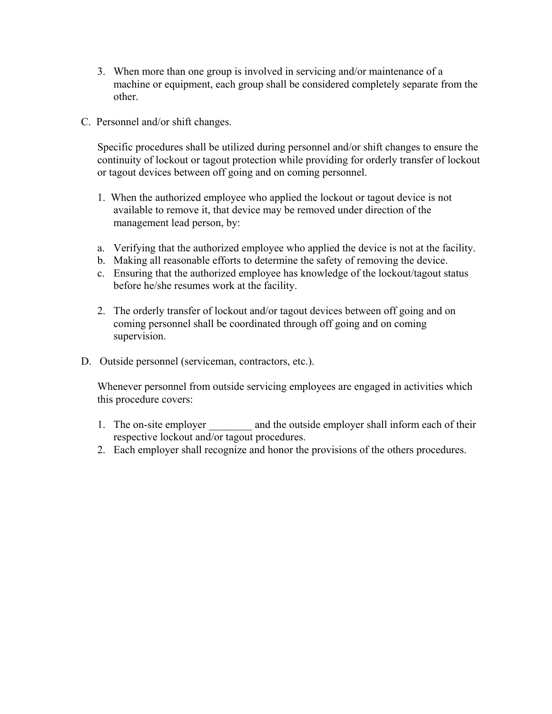- 3. When more than one group is involved in servicing and/or maintenance of a machine or equipment, each group shall be considered completely separate from the other.
- C. Personnel and/or shift changes.

 Specific procedures shall be utilized during personnel and/or shift changes to ensure the continuity of lockout or tagout protection while providing for orderly transfer of lockout or tagout devices between off going and on coming personnel.

- 1. When the authorized employee who applied the lockout or tagout device is not available to remove it, that device may be removed under direction of the management lead person, by:
- a. Verifying that the authorized employee who applied the device is not at the facility.
- b. Making all reasonable efforts to determine the safety of removing the device.
- c. Ensuring that the authorized employee has knowledge of the lockout/tagout status before he/she resumes work at the facility.
- 2. The orderly transfer of lockout and/or tagout devices between off going and on coming personnel shall be coordinated through off going and on coming supervision.
- D. Outside personnel (serviceman, contractors, etc.).

 Whenever personnel from outside servicing employees are engaged in activities which this procedure covers:

- 1. The on-site employer and the outside employer shall inform each of their respective lockout and/or tagout procedures.
- 2. Each employer shall recognize and honor the provisions of the others procedures.